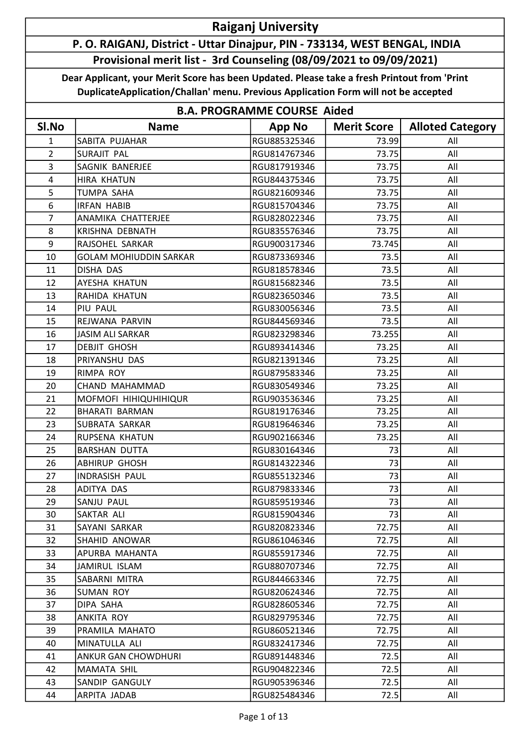## Raiganj University

## P. O. RAIGANJ, District - Uttar Dinajpur, PIN - 733134, WEST BENGAL, INDIA Provisional merit list - 3rd Counseling (08/09/2021 to 09/09/2021)

Dear Applicant, your Merit Score has been Updated. Please take a fresh Printout from 'Print DuplicateApplication/Challan' menu. Previous Application Form will not be accepted

| <b>B.A. PROGRAMME COURSE Aided</b> |                               |               |                    |                         |
|------------------------------------|-------------------------------|---------------|--------------------|-------------------------|
| SI.No                              | <b>Name</b>                   | <b>App No</b> | <b>Merit Score</b> | <b>Alloted Category</b> |
| 1                                  | SABITA PUJAHAR                | RGU885325346  | 73.99              | All                     |
| $\overline{2}$                     | SURAJIT PAL                   | RGU814767346  | 73.75              | All                     |
| 3                                  | SAGNIK BANERJEE               | RGU817919346  | 73.75              | All                     |
| $\overline{4}$                     | <b>HIRA KHATUN</b>            | RGU844375346  | 73.75              | All                     |
| 5                                  | <b>TUMPA SAHA</b>             | RGU821609346  | 73.75              | All                     |
| 6                                  | <b>IRFAN HABIB</b>            | RGU815704346  | 73.75              | All                     |
| $\overline{7}$                     | ANAMIKA CHATTERJEE            | RGU828022346  | 73.75              | All                     |
| 8                                  | KRISHNA DEBNATH               | RGU835576346  | 73.75              | All                     |
| 9                                  | RAJSOHEL SARKAR               | RGU900317346  | 73.745             | All                     |
| 10                                 | <b>GOLAM MOHIUDDIN SARKAR</b> | RGU873369346  | 73.5               | All                     |
| 11                                 | DISHA DAS                     | RGU818578346  | 73.5               | All                     |
| 12                                 | AYESHA KHATUN                 | RGU815682346  | 73.5               | All                     |
| 13                                 | RAHIDA KHATUN                 | RGU823650346  | 73.5               | All                     |
| 14                                 | PIU PAUL                      | RGU830056346  | 73.5               | All                     |
| 15                                 | REJWANA PARVIN                | RGU844569346  | 73.5               | All                     |
| 16                                 | <b>JASIM ALI SARKAR</b>       | RGU823298346  | 73.255             | All                     |
| 17                                 | <b>DEBJIT GHOSH</b>           | RGU893414346  | 73.25              | All                     |
| 18                                 | PRIYANSHU DAS                 | RGU821391346  | 73.25              | All                     |
| 19                                 | RIMPA ROY                     | RGU879583346  | 73.25              | All                     |
| 20                                 | CHAND MAHAMMAD                | RGU830549346  | 73.25              | All                     |
| 21                                 | MOFMOFI HIHIQUHIHIQUR         | RGU903536346  | 73.25              | All                     |
| 22                                 | <b>BHARATI BARMAN</b>         | RGU819176346  | 73.25              | All                     |
| 23                                 | SUBRATA SARKAR                | RGU819646346  | 73.25              | All                     |
| 24                                 | RUPSENA KHATUN                | RGU902166346  | 73.25              | All                     |
| 25                                 | <b>BARSHAN DUTTA</b>          | RGU830164346  | 73                 | All                     |
| 26                                 | <b>ABHIRUP GHOSH</b>          | RGU814322346  | 73                 | All                     |
| 27                                 | INDRASISH PAUL                | RGU855132346  | 73                 | All                     |
| 28                                 | ADITYA DAS                    | RGU879833346  | 73                 | All                     |
| 29                                 | SANJU PAUL                    | RGU859519346  | 73                 | All                     |
| 30                                 | SAKTAR ALI                    | RGU815904346  | 73                 | All                     |
| 31                                 | SAYANI SARKAR                 | RGU820823346  | 72.75              | All                     |
| 32                                 | SHAHID ANOWAR                 | RGU861046346  | 72.75              | All                     |
| 33                                 | APURBA MAHANTA                | RGU855917346  | 72.75              | All                     |
| 34                                 | JAMIRUL ISLAM                 | RGU880707346  | 72.75              | All                     |
| 35                                 | SABARNI MITRA                 | RGU844663346  | 72.75              | All                     |
| 36                                 | SUMAN ROY                     | RGU820624346  | 72.75              | All                     |
| 37                                 | DIPA SAHA                     | RGU828605346  | 72.75              | All                     |
| 38                                 | ANKITA ROY                    | RGU829795346  | 72.75              | All                     |
| 39                                 | PRAMILA MAHATO                | RGU860521346  | 72.75              | All                     |
| 40                                 | MINATULLA ALI                 | RGU832417346  | 72.75              | All                     |
| 41                                 | ANKUR GAN CHOWDHURI           | RGU891448346  | 72.5               | All                     |
| 42                                 | MAMATA SHIL                   | RGU904822346  | 72.5               | All                     |
| 43                                 | SANDIP GANGULY                | RGU905396346  | 72.5               | All                     |
| 44                                 | ARPITA JADAB                  | RGU825484346  | 72.5               | All                     |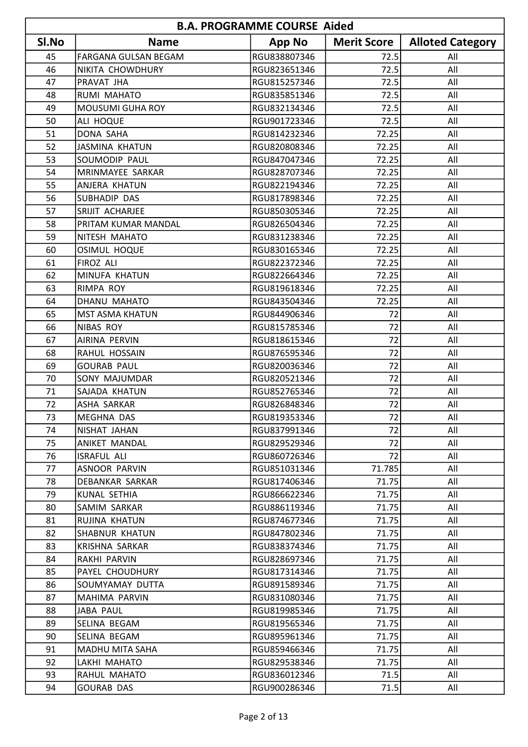| <b>B.A. PROGRAMME COURSE Aided</b> |                         |               |                    |                         |
|------------------------------------|-------------------------|---------------|--------------------|-------------------------|
| SI.No                              | <b>Name</b>             | <b>App No</b> | <b>Merit Score</b> | <b>Alloted Category</b> |
| 45                                 | FARGANA GULSAN BEGAM    | RGU838807346  | 72.5               | All                     |
| 46                                 | NIKITA CHOWDHURY        | RGU823651346  | 72.5               | All                     |
| 47                                 | PRAVAT JHA              | RGU815257346  | 72.5               | All                     |
| 48                                 | RUMI MAHATO             | RGU835851346  | 72.5               | All                     |
| 49                                 | <b>MOUSUMI GUHA ROY</b> | RGU832134346  | 72.5               | All                     |
| 50                                 | ALI HOQUE               | RGU901723346  | 72.5               | All                     |
| 51                                 | DONA SAHA               | RGU814232346  | 72.25              | All                     |
| 52                                 | <b>JASMINA KHATUN</b>   | RGU820808346  | 72.25              | All                     |
| 53                                 | <b>SOUMODIP PAUL</b>    | RGU847047346  | 72.25              | All                     |
| 54                                 | MRINMAYEE SARKAR        | RGU828707346  | 72.25              | All                     |
| 55                                 | <b>ANJERA KHATUN</b>    | RGU822194346  | 72.25              | All                     |
| 56                                 | SUBHADIP DAS            | RGU817898346  | 72.25              | All                     |
| 57                                 | SRIJIT ACHARJEE         | RGU850305346  | 72.25              | All                     |
| 58                                 | PRITAM KUMAR MANDAL     | RGU826504346  | 72.25              | All                     |
| 59                                 | NITESH MAHATO           | RGU831238346  | 72.25              | All                     |
| 60                                 | <b>OSIMUL HOQUE</b>     | RGU830165346  | 72.25              | All                     |
| 61                                 | FIROZ ALI               | RGU822372346  | 72.25              | All                     |
| 62                                 | MINUFA KHATUN           | RGU822664346  | 72.25              | All                     |
| 63                                 | RIMPA ROY               | RGU819618346  | 72.25              | All                     |
| 64                                 | DHANU MAHATO            | RGU843504346  | 72.25              | All                     |
| 65                                 | <b>MST ASMA KHATUN</b>  | RGU844906346  | 72                 | All                     |
| 66                                 | NIBAS ROY               | RGU815785346  | 72                 | All                     |
| 67                                 | <b>AIRINA PERVIN</b>    | RGU818615346  | 72                 | All                     |
| 68                                 | RAHUL HOSSAIN           | RGU876595346  | 72                 | All                     |
| 69                                 | <b>GOURAB PAUL</b>      | RGU820036346  | 72                 | All                     |
| 70                                 | SONY MAJUMDAR           | RGU820521346  | 72                 | All                     |
| 71                                 | SAJADA KHATUN           | RGU852765346  | 72                 | All                     |
| 72                                 | ASHA SARKAR             | RGU826848346  | 72                 | All                     |
| 73                                 | MEGHNA DAS              | RGU819353346  | 72                 | All                     |
| 74                                 | NISHAT JAHAN            | RGU837991346  | 72                 | All                     |
| 75                                 | ANIKET MANDAL           | RGU829529346  | 72                 | All                     |
| 76                                 | <b>ISRAFUL ALI</b>      | RGU860726346  | 72                 | All                     |
| 77                                 | <b>ASNOOR PARVIN</b>    | RGU851031346  | 71.785             | All                     |
| 78                                 | DEBANKAR SARKAR         | RGU817406346  | 71.75              | All                     |
| 79                                 | KUNAL SETHIA            | RGU866622346  | 71.75              | All                     |
| 80                                 | SAMIM SARKAR            | RGU886119346  | 71.75              | All                     |
| 81                                 | RUJINA KHATUN           | RGU874677346  | 71.75              | All                     |
| 82                                 | SHABNUR KHATUN          | RGU847802346  | 71.75              | All                     |
| 83                                 | <b>KRISHNA SARKAR</b>   | RGU838374346  | 71.75              | All                     |
| 84                                 | RAKHI PARVIN            | RGU828697346  | 71.75              | All                     |
| 85                                 | PAYEL CHOUDHURY         | RGU817314346  | 71.75              | All                     |
| 86                                 | SOUMYAMAY DUTTA         | RGU891589346  | 71.75              | All                     |
| 87                                 | MAHIMA PARVIN           | RGU831080346  | 71.75              | All                     |
| 88                                 | <b>JABA PAUL</b>        | RGU819985346  | 71.75              | All                     |
| 89                                 | SELINA BEGAM            | RGU819565346  | 71.75              | All                     |
| 90                                 | SELINA BEGAM            | RGU895961346  | 71.75              | All                     |
| 91                                 | <b>MADHU MITA SAHA</b>  | RGU859466346  | 71.75              | All                     |
| 92                                 | LAKHI MAHATO            | RGU829538346  | 71.75              | All                     |
| 93                                 | RAHUL MAHATO            | RGU836012346  | 71.5               | All                     |
| 94                                 | <b>GOURAB DAS</b>       | RGU900286346  | 71.5               | All                     |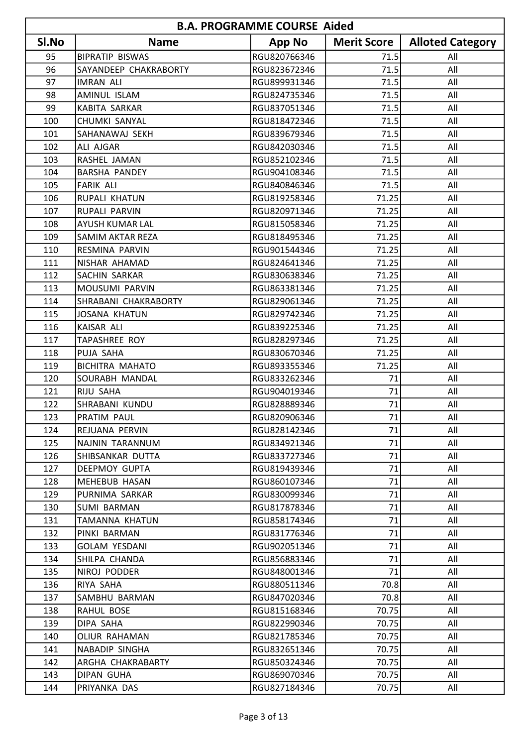| <b>B.A. PROGRAMME COURSE Aided</b> |                         |               |                    |                         |
|------------------------------------|-------------------------|---------------|--------------------|-------------------------|
| SI.No                              | <b>Name</b>             | <b>App No</b> | <b>Merit Score</b> | <b>Alloted Category</b> |
| 95                                 | <b>BIPRATIP BISWAS</b>  | RGU820766346  | 71.5               | All                     |
| 96                                 | SAYANDEEP CHAKRABORTY   | RGU823672346  | 71.5               | All                     |
| 97                                 | <b>IMRAN ALI</b>        | RGU899931346  | 71.5               | All                     |
| 98                                 | AMINUL ISLAM            | RGU824735346  | 71.5               | All                     |
| 99                                 | KABITA SARKAR           | RGU837051346  | 71.5               | All                     |
| 100                                | CHUMKI SANYAL           | RGU818472346  | 71.5               | All                     |
| 101                                | SAHANAWAJ SEKH          | RGU839679346  | 71.5               | All                     |
| 102                                | <b>ALI AJGAR</b>        | RGU842030346  | 71.5               | All                     |
| 103                                | RASHEL JAMAN            | RGU852102346  | 71.5               | All                     |
| 104                                | <b>BARSHA PANDEY</b>    | RGU904108346  | 71.5               | All                     |
| 105                                | <b>FARIK ALI</b>        | RGU840846346  | 71.5               | All                     |
| 106                                | <b>RUPALI KHATUN</b>    | RGU819258346  | 71.25              | All                     |
| 107                                | <b>RUPALI PARVIN</b>    | RGU820971346  | 71.25              | All                     |
| 108                                | <b>AYUSH KUMAR LAL</b>  | RGU815058346  | 71.25              | All                     |
| 109                                | <b>SAMIM AKTAR REZA</b> | RGU818495346  | 71.25              | All                     |
| 110                                | RESMINA PARVIN          | RGU901544346  | 71.25              | All                     |
| 111                                | NISHAR AHAMAD           | RGU824641346  | 71.25              | All                     |
| 112                                | SACHIN SARKAR           | RGU830638346  | 71.25              | All                     |
| 113                                | MOUSUMI PARVIN          | RGU863381346  | 71.25              | All                     |
| 114                                | SHRABANI CHAKRABORTY    | RGU829061346  | 71.25              | All                     |
| 115                                | <b>JOSANA KHATUN</b>    | RGU829742346  | 71.25              | All                     |
| 116                                | KAISAR ALI              | RGU839225346  | 71.25              | All                     |
| 117                                | <b>TAPASHREE ROY</b>    | RGU828297346  | 71.25              | All                     |
| 118                                | PUJA SAHA               | RGU830670346  | 71.25              | All                     |
| 119                                | <b>BICHITRA MAHATO</b>  | RGU893355346  | 71.25              | All                     |
| 120                                | SOURABH MANDAL          | RGU833262346  | 71                 | All                     |
| 121                                | RIJU SAHA               | RGU904019346  | 71                 | All                     |
| 122                                | SHRABANI KUNDU          | RGU828889346  | 71                 | All                     |
| 123                                | PRATIM PAUL             | RGU820906346  | 71                 | All                     |
| 124                                | REJUANA PERVIN          | RGU828142346  | 71                 | All                     |
| 125                                | NAJNIN TARANNUM         | RGU834921346  | 71                 | All                     |
| 126                                | SHIBSANKAR DUTTA        | RGU833727346  | 71                 | All                     |
| 127                                | DEEPMOY GUPTA           | RGU819439346  | 71                 | All                     |
| 128                                | MEHEBUB HASAN           | RGU860107346  | 71                 | All                     |
| 129                                | PURNIMA SARKAR          | RGU830099346  | 71                 | All                     |
| 130                                | <b>SUMI BARMAN</b>      | RGU817878346  | 71                 | All                     |
| 131                                | <b>TAMANNA KHATUN</b>   | RGU858174346  | 71                 | All                     |
| 132                                | PINKI BARMAN            | RGU831776346  | 71                 | All                     |
| 133                                | GOLAM YESDANI           | RGU902051346  | 71                 | All                     |
| 134                                | SHILPA CHANDA           | RGU856883346  | 71                 | All                     |
| 135                                | NIROJ PODDER            | RGU848001346  | 71                 | All                     |
| 136                                | RIYA SAHA               | RGU880511346  | 70.8               | All                     |
| 137                                | SAMBHU BARMAN           | RGU847020346  | 70.8               | All                     |
| 138                                | RAHUL BOSE              | RGU815168346  | 70.75              | All                     |
| 139                                | DIPA SAHA               | RGU822990346  | 70.75              | All                     |
| 140                                | OLIUR RAHAMAN           | RGU821785346  | 70.75              | All                     |
| 141                                | NABADIP SINGHA          | RGU832651346  | 70.75              | All                     |
| 142                                | ARGHA CHAKRABARTY       | RGU850324346  | 70.75              | All                     |
| 143                                | DIPAN GUHA              | RGU869070346  | 70.75              | All                     |
| 144                                | PRIYANKA DAS            | RGU827184346  | 70.75              | All                     |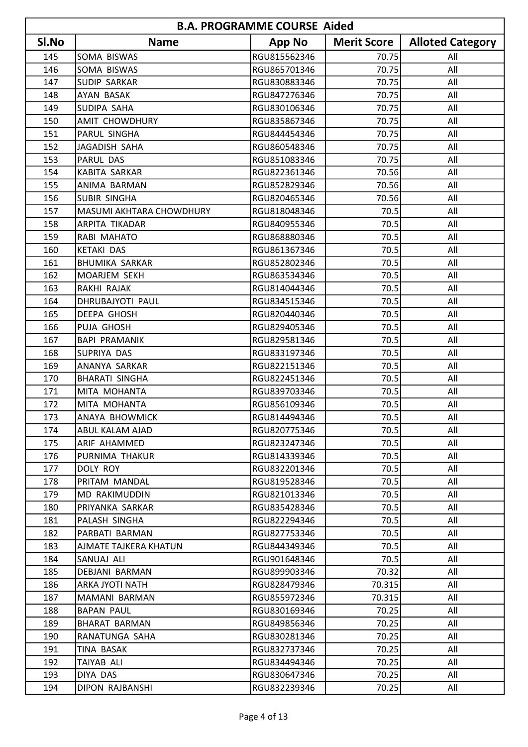| <b>B.A. PROGRAMME COURSE Aided</b> |                          |               |                    |                         |
|------------------------------------|--------------------------|---------------|--------------------|-------------------------|
| SI.No                              | <b>Name</b>              | <b>App No</b> | <b>Merit Score</b> | <b>Alloted Category</b> |
| 145                                | <b>SOMA BISWAS</b>       | RGU815562346  | 70.75              | All                     |
| 146                                | SOMA BISWAS              | RGU865701346  | 70.75              | All                     |
| 147                                | <b>SUDIP SARKAR</b>      | RGU830883346  | 70.75              | All                     |
| 148                                | <b>AYAN BASAK</b>        | RGU847276346  | 70.75              | All                     |
| 149                                | <b>SUDIPA SAHA</b>       | RGU830106346  | 70.75              | All                     |
| 150                                | <b>AMIT CHOWDHURY</b>    | RGU835867346  | 70.75              | All                     |
| 151                                | PARUL SINGHA             | RGU844454346  | 70.75              | All                     |
| 152                                | JAGADISH SAHA            | RGU860548346  | 70.75              | All                     |
| 153                                | PARUL DAS                | RGU851083346  | 70.75              | All                     |
| 154                                | KABITA SARKAR            | RGU822361346  | 70.56              | All                     |
| 155                                | <b>ANIMA BARMAN</b>      | RGU852829346  | 70.56              | All                     |
| 156                                | <b>SUBIR SINGHA</b>      | RGU820465346  | 70.56              | All                     |
| 157                                | MASUMI AKHTARA CHOWDHURY | RGU818048346  | 70.5               | All                     |
| 158                                | ARPITA TIKADAR           | RGU840955346  | 70.5               | All                     |
| 159                                | RABI MAHATO              | RGU868880346  | 70.5               | All                     |
| 160                                | <b>KETAKI DAS</b>        | RGU861367346  | 70.5               | All                     |
| 161                                | <b>BHUMIKA SARKAR</b>    | RGU852802346  | 70.5               | All                     |
| 162                                | MOARJEM SEKH             | RGU863534346  | 70.5               | All                     |
| 163                                | RAKHI RAJAK              | RGU814044346  | 70.5               | All                     |
| 164                                | DHRUBAJYOTI PAUL         | RGU834515346  | 70.5               | All                     |
| 165                                | DEEPA GHOSH              | RGU820440346  | 70.5               | All                     |
| 166                                | PUJA GHOSH               | RGU829405346  | 70.5               | All                     |
| 167                                | <b>BAPI PRAMANIK</b>     | RGU829581346  | 70.5               | All                     |
| 168                                | SUPRIYA DAS              | RGU833197346  | 70.5               | All                     |
| 169                                | ANANYA SARKAR            | RGU822151346  | 70.5               | All                     |
| 170                                | <b>BHARATI SINGHA</b>    | RGU822451346  | 70.5               | All                     |
| 171                                | MITA MOHANTA             | RGU839703346  | 70.5               | All                     |
| 172                                | MITA MOHANTA             | RGU856109346  | 70.5               | All                     |
| 173                                | JANAYA BHOWMICK          | RGU814494346  | 70.5               | All                     |
| 174                                | <b>ABUL KALAM AJAD</b>   | RGU820775346  | 70.5               | All                     |
| 175                                | ARIF AHAMMED             | RGU823247346  | 70.5               | All                     |
| 176                                | PURNIMA THAKUR           | RGU814339346  | 70.5               | All                     |
| 177                                | DOLY ROY                 | RGU832201346  | 70.5               | All                     |
| 178                                | PRITAM MANDAL            | RGU819528346  | 70.5               | All                     |
| 179                                | <b>MD RAKIMUDDIN</b>     | RGU821013346  | 70.5               | All                     |
| 180                                | PRIYANKA SARKAR          | RGU835428346  | 70.5               | All                     |
| 181                                | PALASH SINGHA            | RGU822294346  | 70.5               | All                     |
| 182                                | PARBATI BARMAN           | RGU827753346  | 70.5               | All                     |
| 183                                | AJMATE TAJKERA KHATUN    | RGU844349346  | 70.5               | All                     |
| 184                                | SANUAJ ALI               | RGU901648346  | 70.5               | All                     |
| 185                                | DEBJANI BARMAN           | RGU899903346  | 70.32              | All                     |
| 186                                | ARKA JYOTI NATH          | RGU828479346  | 70.315             | All                     |
| 187                                | MAMANI BARMAN            | RGU855972346  | 70.315             | All                     |
| 188                                | <b>BAPAN PAUL</b>        | RGU830169346  | 70.25              | All                     |
| 189                                | <b>BHARAT BARMAN</b>     | RGU849856346  | 70.25              | All                     |
| 190                                | RANATUNGA SAHA           | RGU830281346  | 70.25              | All                     |
| 191                                | TINA BASAK               | RGU832737346  | 70.25              | All                     |
| 192                                | TAIYAB ALI               | RGU834494346  | 70.25              | All                     |
| 193                                | DIYA DAS                 | RGU830647346  | 70.25              | All                     |
| 194                                | DIPON RAJBANSHI          | RGU832239346  | 70.25              | All                     |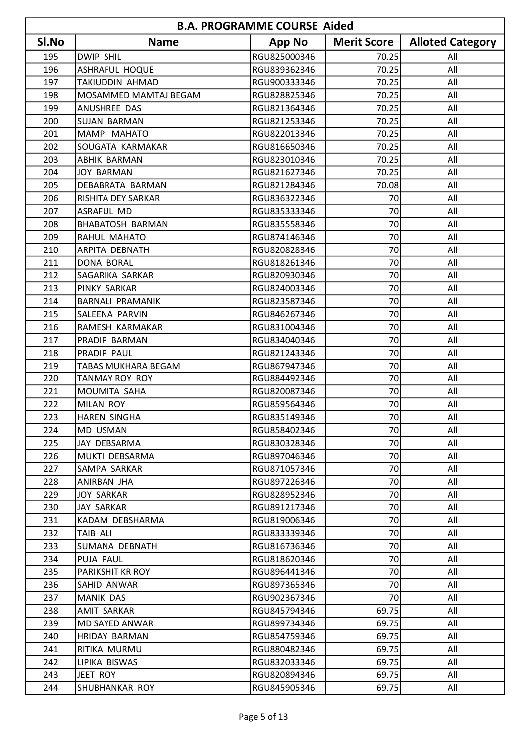| <b>B.A. PROGRAMME COURSE Aided</b> |                            |               |                    |                         |
|------------------------------------|----------------------------|---------------|--------------------|-------------------------|
| Sl.No                              | <b>Name</b>                | <b>App No</b> | <b>Merit Score</b> | <b>Alloted Category</b> |
| 195                                | <b>DWIP SHIL</b>           | RGU825000346  | 70.25              | All                     |
| 196                                | ASHRAFUL HOQUE             | RGU839362346  | 70.25              | All                     |
| 197                                | TAKIUDDIN AHMAD            | RGU900333346  | 70.25              | All                     |
| 198                                | MOSAMMED MAMTAJ BEGAM      | RGU828825346  | 70.25              | All                     |
| 199                                | ANUSHREE DAS               | RGU821364346  | 70.25              | All                     |
| 200                                | <b>SUJAN BARMAN</b>        | RGU821253346  | 70.25              | All                     |
| 201                                | <b>MAMPI MAHATO</b>        | RGU822013346  | 70.25              | All                     |
| 202                                | SOUGATA KARMAKAR           | RGU816650346  | 70.25              | All                     |
| 203                                | <b>ABHIK BARMAN</b>        | RGU823010346  | 70.25              | All                     |
| 204                                | JOY BARMAN                 | RGU821627346  | 70.25              | All                     |
| 205                                | DEBABRATA BARMAN           | RGU821284346  | 70.08              | All                     |
| 206                                | RISHITA DEY SARKAR         | RGU836322346  | 70                 | All                     |
| 207                                | <b>ASRAFUL MD</b>          | RGU835333346  | 70                 | All                     |
| 208                                | <b>BHABATOSH BARMAN</b>    | RGU835558346  | 70                 | All                     |
| 209                                | RAHUL MAHATO               | RGU874146346  | 70                 | All                     |
| 210                                | <b>ARPITA DEBNATH</b>      | RGU820828346  | 70                 | All                     |
| 211                                | DONA BORAL                 | RGU818261346  | 70                 | All                     |
| 212                                | SAGARIKA SARKAR            | RGU820930346  | 70                 | All                     |
| 213                                | PINKY SARKAR               | RGU824003346  | 70                 | All                     |
| 214                                | <b>BARNALI PRAMANIK</b>    | RGU823587346  | 70                 | All                     |
| 215                                | SALEENA PARVIN             | RGU846267346  | 70                 | All                     |
| 216                                | RAMESH KARMAKAR            | RGU831004346  | 70                 | All                     |
| 217                                | PRADIP BARMAN              | RGU834040346  | 70                 | All                     |
| 218                                | PRADIP PAUL                | RGU821243346  | 70                 | All                     |
| 219                                | <b>TABAS MUKHARA BEGAM</b> | RGU867947346  | 70                 | All                     |
| 220                                | TANMAY ROY ROY             | RGU884492346  | 70                 | All                     |
| 221                                | MOUMITA SAHA               | RGU820087346  | 70                 | All                     |
| 222                                | MILAN ROY                  | RGU859564346  | 70                 | All                     |
| 223                                | HAREN SINGHA               | RGU835149346  | 70                 | All                     |
| 224                                | <b>MD USMAN</b>            | RGU858402346  | 70                 | All                     |
| 225                                | JAY DEBSARMA               | RGU830328346  | 70                 | All                     |
| 226                                | MUKTI DEBSARMA             | RGU897046346  | 70                 | All                     |
| 227                                | SAMPA SARKAR               | RGU871057346  | 70                 | All                     |
| 228                                | ANIRBAN JHA                | RGU897226346  | 70                 | All                     |
| 229                                | JOY SARKAR                 | RGU828952346  | 70                 | All                     |
| 230                                | JAY SARKAR                 | RGU891217346  | 70                 | All                     |
| 231                                | KADAM DEBSHARMA            | RGU819006346  | 70                 | All                     |
| 232                                | TAIB ALI                   | RGU833339346  | 70                 | All                     |
| 233                                | SUMANA DEBNATH             | RGU816736346  | 70                 | All                     |
| 234                                | PUJA PAUL                  | RGU818620346  | 70                 | All                     |
| 235                                | PARIKSHIT KR ROY           | RGU896441346  | 70                 | All                     |
| 236                                | SAHID ANWAR                | RGU897365346  | 70                 | All                     |
| 237                                | MANIK DAS                  | RGU902367346  | 70                 | All                     |
| 238                                | <b>AMIT SARKAR</b>         | RGU845794346  | 69.75              | All                     |
| 239                                | MD SAYED ANWAR             | RGU899734346  | 69.75              | All                     |
| 240                                | HRIDAY BARMAN              | RGU854759346  | 69.75              | All                     |
| 241                                | RITIKA MURMU               | RGU880482346  | 69.75              | All                     |
| 242                                | LIPIKA BISWAS              | RGU832033346  | 69.75              | All                     |
| 243                                | JEET ROY                   | RGU820894346  | 69.75              | All                     |
| 244                                | SHUBHANKAR ROY             | RGU845905346  | 69.75              | All                     |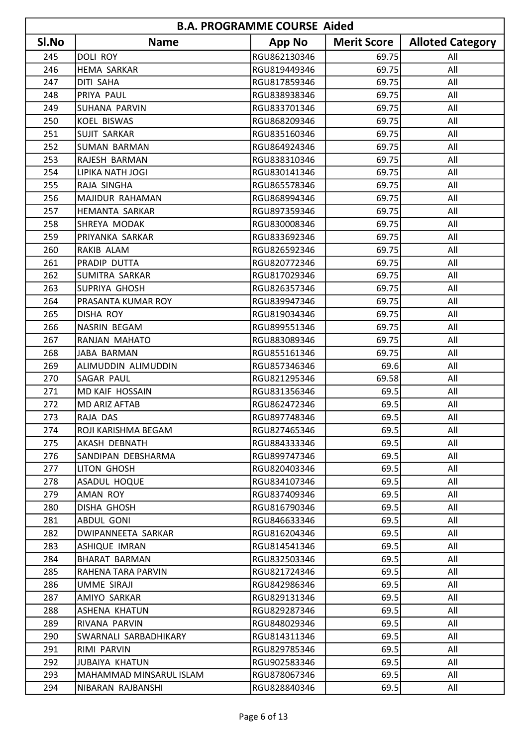| <b>B.A. PROGRAMME COURSE Aided</b> |                         |               |                    |                         |
|------------------------------------|-------------------------|---------------|--------------------|-------------------------|
| SI.No                              | <b>Name</b>             | <b>App No</b> | <b>Merit Score</b> | <b>Alloted Category</b> |
| 245                                | <b>DOLI ROY</b>         | RGU862130346  | 69.75              | All                     |
| 246                                | <b>HEMA SARKAR</b>      | RGU819449346  | 69.75              | All                     |
| 247                                | DITI SAHA               | RGU817859346  | 69.75              | All                     |
| 248                                | PRIYA PAUL              | RGU838938346  | 69.75              | All                     |
| 249                                | SUHANA PARVIN           | RGU833701346  | 69.75              | All                     |
| 250                                | <b>KOEL BISWAS</b>      | RGU868209346  | 69.75              | All                     |
| 251                                | <b>SUJIT SARKAR</b>     | RGU835160346  | 69.75              | All                     |
| 252                                | <b>SUMAN BARMAN</b>     | RGU864924346  | 69.75              | All                     |
| 253                                | RAJESH BARMAN           | RGU838310346  | 69.75              | All                     |
| 254                                | LIPIKA NATH JOGI        | RGU830141346  | 69.75              | All                     |
| 255                                | RAJA SINGHA             | RGU865578346  | 69.75              | All                     |
| 256                                | MAJIDUR RAHAMAN         | RGU868994346  | 69.75              | All                     |
| 257                                | HEMANTA SARKAR          | RGU897359346  | 69.75              | All                     |
| 258                                | SHREYA MODAK            | RGU830008346  | 69.75              | All                     |
| 259                                | PRIYANKA SARKAR         | RGU833692346  | 69.75              | All                     |
| 260                                | RAKIB ALAM              | RGU826592346  | 69.75              | All                     |
| 261                                | PRADIP DUTTA            | RGU820772346  | 69.75              | All                     |
| 262                                | SUMITRA SARKAR          | RGU817029346  | 69.75              | All                     |
| 263                                | SUPRIYA GHOSH           | RGU826357346  | 69.75              | All                     |
| 264                                | PRASANTA KUMAR ROY      | RGU839947346  | 69.75              | All                     |
| 265                                | <b>DISHA ROY</b>        | RGU819034346  | 69.75              | All                     |
| 266                                | NASRIN BEGAM            | RGU899551346  | 69.75              | All                     |
| 267                                | RANJAN MAHATO           | RGU883089346  | 69.75              | All                     |
| 268                                | JABA BARMAN             | RGU855161346  | 69.75              | All                     |
| 269                                | ALIMUDDIN ALIMUDDIN     | RGU857346346  | 69.6               | All                     |
| 270                                | SAGAR PAUL              | RGU821295346  | 69.58              | All                     |
| 271                                | MD KAIF HOSSAIN         | RGU831356346  | 69.5               | All                     |
| 272                                | <b>MD ARIZ AFTAB</b>    | RGU862472346  | 69.5               | All                     |
| 273                                | RAJA DAS                | RGU897748346  | 69.5               | All                     |
| 274                                | ROJI KARISHMA BEGAM     | RGU827465346  | 69.5               | All                     |
| 275                                | AKASH DEBNATH           | RGU884333346  | 69.5               | All                     |
| 276                                | SANDIPAN DEBSHARMA      | RGU899747346  | 69.5               | All                     |
| 277                                | LITON GHOSH             | RGU820403346  | 69.5               | All                     |
| 278                                | ASADUL HOQUE            | RGU834107346  | 69.5               | All                     |
| 279                                | <b>AMAN ROY</b>         | RGU837409346  | 69.5               | All                     |
| 280                                | DISHA GHOSH             | RGU816790346  | 69.5               | All                     |
| 281                                | ABDUL GONI              | RGU846633346  | 69.5               | All                     |
| 282                                | DWIPANNEETA SARKAR      | RGU816204346  | 69.5               | All                     |
| 283                                | <b>ASHIQUE IMRAN</b>    | RGU814541346  | 69.5               | All                     |
| 284                                | BHARAT BARMAN           | RGU832503346  | 69.5               | All                     |
| 285                                | RAHENA TARA PARVIN      | RGU821724346  | 69.5               | All                     |
| 286                                | <b>UMME SIRAJI</b>      | RGU842986346  | 69.5               | All                     |
| 287                                | AMIYO SARKAR            | RGU829131346  | 69.5               | All                     |
| 288                                | ASHENA KHATUN           | RGU829287346  | 69.5               | All                     |
| 289                                | RIVANA PARVIN           | RGU848029346  | 69.5               | All                     |
| 290                                | SWARNALI SARBADHIKARY   | RGU814311346  | 69.5               | All                     |
| 291                                | RIMI PARVIN             | RGU829785346  | 69.5               | All                     |
| 292                                | <b>JUBAIYA KHATUN</b>   | RGU902583346  | 69.5               | All                     |
| 293                                | MAHAMMAD MINSARUL ISLAM | RGU878067346  | 69.5               | All                     |
| 294                                | NIBARAN RAJBANSHI       | RGU828840346  | 69.5               | All                     |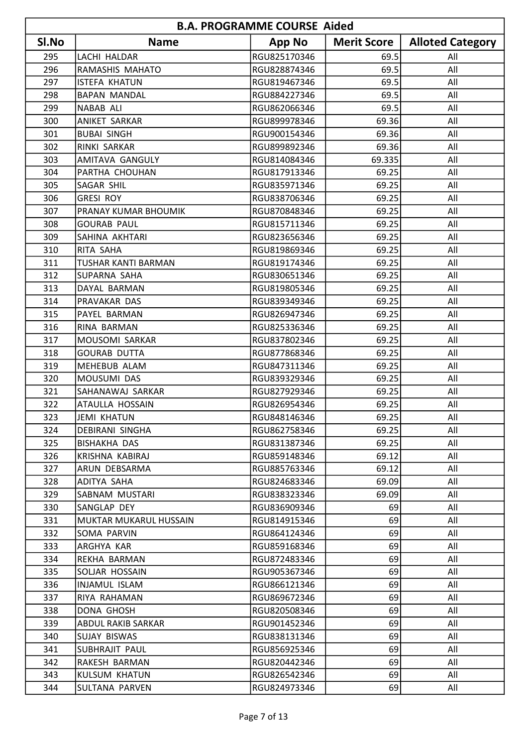| <b>B.A. PROGRAMME COURSE Aided</b> |                           |               |                    |                         |
|------------------------------------|---------------------------|---------------|--------------------|-------------------------|
| SI.No                              | <b>Name</b>               | <b>App No</b> | <b>Merit Score</b> | <b>Alloted Category</b> |
| 295                                | LACHI HALDAR              | RGU825170346  | 69.5               | All                     |
| 296                                | RAMASHIS MAHATO           | RGU828874346  | 69.5               | All                     |
| 297                                | <b>ISTEFA KHATUN</b>      | RGU819467346  | 69.5               | All                     |
| 298                                | <b>BAPAN MANDAL</b>       | RGU884227346  | 69.5               | All                     |
| 299                                | <b>NABAB ALI</b>          | RGU862066346  | 69.5               | All                     |
| 300                                | <b>ANIKET SARKAR</b>      | RGU899978346  | 69.36              | All                     |
| 301                                | <b>BUBAI SINGH</b>        | RGU900154346  | 69.36              | All                     |
| 302                                | RINKI SARKAR              | RGU899892346  | 69.36              | All                     |
| 303                                | AMITAVA GANGULY           | RGU814084346  | 69.335             | All                     |
| 304                                | PARTHA CHOUHAN            | RGU817913346  | 69.25              | All                     |
| 305                                | <b>SAGAR SHIL</b>         | RGU835971346  | 69.25              | All                     |
| 306                                | <b>GRESI ROY</b>          | RGU838706346  | 69.25              | All                     |
| 307                                | PRANAY KUMAR BHOUMIK      | RGU870848346  | 69.25              | All                     |
| 308                                | <b>GOURAB PAUL</b>        | RGU815711346  | 69.25              | All                     |
| 309                                | SAHINA AKHTARI            | RGU823656346  | 69.25              | All                     |
| 310                                | RITA SAHA                 | RGU819869346  | 69.25              | All                     |
| 311                                | TUSHAR KANTI BARMAN       | RGU819174346  | 69.25              | All                     |
| 312                                | SUPARNA SAHA              | RGU830651346  | 69.25              | All                     |
| 313                                | DAYAL BARMAN              | RGU819805346  | 69.25              | All                     |
| 314                                | PRAVAKAR DAS              | RGU839349346  | 69.25              | All                     |
| 315                                | PAYEL BARMAN              | RGU826947346  | 69.25              | All                     |
| 316                                | RINA BARMAN               | RGU825336346  | 69.25              | All                     |
| 317                                | MOUSOMI SARKAR            | RGU837802346  | 69.25              | All                     |
| 318                                | <b>GOURAB DUTTA</b>       | RGU877868346  | 69.25              | All                     |
| 319                                | MEHEBUB ALAM              | RGU847311346  | 69.25              | All                     |
| 320                                | MOUSUMI DAS               | RGU839329346  | 69.25              | All                     |
| 321                                | SAHANAWAJ SARKAR          | RGU827929346  | 69.25              | All                     |
| 322                                | <b>ATAULLA HOSSAIN</b>    | RGU826954346  | 69.25              | All                     |
| 323                                | JEMI KHATUN               | RGU848146346  | 69.25              | All                     |
| 324                                | <b>DEBIRANI SINGHA</b>    | RGU862758346  | 69.25              | All                     |
| 325                                | <b>BISHAKHA DAS</b>       | RGU831387346  | 69.25              | All                     |
| 326                                | KRISHNA KABIRAJ           | RGU859148346  | 69.12              | All                     |
| 327                                | ARUN DEBSARMA             | RGU885763346  | 69.12              | All                     |
| 328                                | ADITYA SAHA               | RGU824683346  | 69.09              | All                     |
| 329                                | SABNAM MUSTARI            | RGU838323346  | 69.09              | All                     |
| 330                                | SANGLAP DEY               | RGU836909346  | 69                 | All                     |
| 331                                | MUKTAR MUKARUL HUSSAIN    | RGU814915346  | 69                 | All                     |
| 332                                | SOMA PARVIN               | RGU864124346  | 69                 | All                     |
| 333                                | ARGHYA KAR                | RGU859168346  | 69                 | All                     |
| 334                                | REKHA BARMAN              | RGU872483346  | 69                 | All                     |
| 335                                | SOLJAR HOSSAIN            | RGU905367346  | 69                 | All                     |
| 336                                | <b>INJAMUL ISLAM</b>      | RGU866121346  | 69                 | All                     |
| 337                                | RIYA RAHAMAN              | RGU869672346  | 69                 | All                     |
| 338                                | DONA GHOSH                | RGU820508346  | 69                 | All                     |
| 339                                | <b>ABDUL RAKIB SARKAR</b> | RGU901452346  | 69                 | All                     |
| 340                                | SUJAY BISWAS              | RGU838131346  | 69                 | All                     |
| 341                                | SUBHRAJIT PAUL            | RGU856925346  | 69                 | All                     |
| 342                                | RAKESH BARMAN             | RGU820442346  | 69                 | All                     |
| 343                                | KULSUM KHATUN             | RGU826542346  | 69                 | All                     |
| 344                                | SULTANA PARVEN            | RGU824973346  | 69                 | All                     |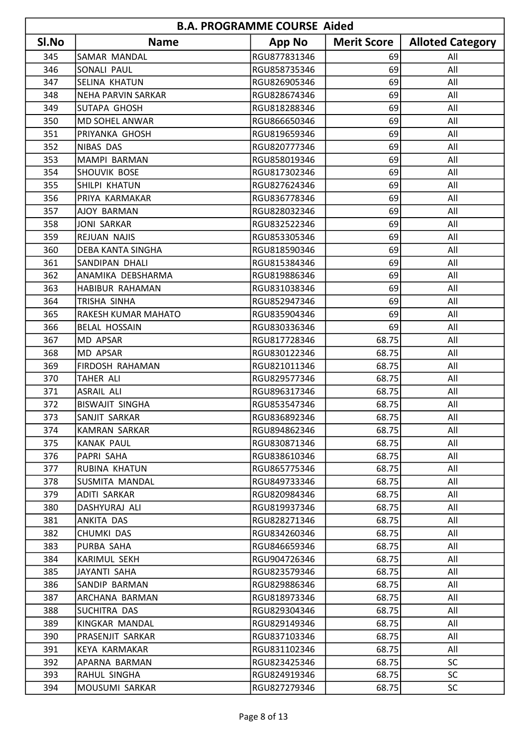| <b>B.A. PROGRAMME COURSE Aided</b> |                           |               |                    |                         |
|------------------------------------|---------------------------|---------------|--------------------|-------------------------|
| SI.No                              | <b>Name</b>               | <b>App No</b> | <b>Merit Score</b> | <b>Alloted Category</b> |
| 345                                | SAMAR MANDAL              | RGU877831346  | 69                 | All                     |
| 346                                | SONALI PAUL               | RGU858735346  | 69                 | All                     |
| 347                                | <b>SELINA KHATUN</b>      | RGU826905346  | 69                 | All                     |
| 348                                | <b>NEHA PARVIN SARKAR</b> | RGU828674346  | 69                 | All                     |
| 349                                | <b>SUTAPA GHOSH</b>       | RGU818288346  | 69                 | All                     |
| 350                                | <b>MD SOHEL ANWAR</b>     | RGU866650346  | 69                 | All                     |
| 351                                | PRIYANKA GHOSH            | RGU819659346  | 69                 | All                     |
| 352                                | NIBAS DAS                 | RGU820777346  | 69                 | All                     |
| 353                                | <b>MAMPI BARMAN</b>       | RGU858019346  | 69                 | All                     |
| 354                                | SHOUVIK BOSE              | RGU817302346  | 69                 | All                     |
| 355                                | SHILPI KHATUN             | RGU827624346  | 69                 | All                     |
| 356                                | PRIYA KARMAKAR            | RGU836778346  | 69                 | All                     |
| 357                                | <b>AJOY BARMAN</b>        | RGU828032346  | 69                 | All                     |
| 358                                | <b>JONI SARKAR</b>        | RGU832522346  | 69                 | All                     |
| 359                                | REJUAN NAJIS              | RGU853305346  | 69                 | All                     |
| 360                                | <b>DEBA KANTA SINGHA</b>  | RGU818590346  | 69                 | All                     |
| 361                                | SANDIPAN DHALI            | RGU815384346  | 69                 | All                     |
| 362                                | ANAMIKA DEBSHARMA         | RGU819886346  | 69                 | All                     |
| 363                                | HABIBUR RAHAMAN           | RGU831038346  | 69                 | All                     |
| 364                                | TRISHA SINHA              | RGU852947346  | 69                 | All                     |
| 365                                | RAKESH KUMAR MAHATO       | RGU835904346  | 69                 | All                     |
| 366                                | <b>BELAL HOSSAIN</b>      | RGU830336346  | 69                 | All                     |
| 367                                | MD APSAR                  | RGU817728346  | 68.75              | All                     |
| 368                                | MD APSAR                  | RGU830122346  | 68.75              | All                     |
| 369                                | <b>FIRDOSH RAHAMAN</b>    | RGU821011346  | 68.75              | All                     |
| 370                                | TAHER ALI                 | RGU829577346  | 68.75              | All                     |
| 371                                | <b>ASRAIL ALI</b>         | RGU896317346  | 68.75              | All                     |
| 372                                | <b>BISWAJIT SINGHA</b>    | RGU853547346  | 68.75              | All                     |
| 373                                | SANJIT SARKAR             | RGU836892346  | 68.75              | All                     |
| 374                                | KAMRAN SARKAR             | RGU894862346  | 68.75              | All                     |
| 375                                | <b>KANAK PAUL</b>         | RGU830871346  | 68.75              | All                     |
| 376                                | PAPRI SAHA                | RGU838610346  | 68.75              | All                     |
| 377                                | RUBINA KHATUN             | RGU865775346  | 68.75              | All                     |
| 378                                | SUSMITA MANDAL            | RGU849733346  | 68.75              | All                     |
| 379                                | ADITI SARKAR              | RGU820984346  | 68.75              | All                     |
| 380                                | DASHYURAJ ALI             | RGU819937346  | 68.75              | All                     |
| 381                                | ANKITA DAS                | RGU828271346  | 68.75              | All                     |
| 382                                | CHUMKI DAS                | RGU834260346  | 68.75              | All                     |
| 383                                | PURBA SAHA                | RGU846659346  | 68.75              | All                     |
| 384                                | KARIMUL SEKH              | RGU904726346  | 68.75              | All                     |
| 385                                | JAYANTI SAHA              | RGU823579346  | 68.75              | All                     |
| 386                                | SANDIP BARMAN             | RGU829886346  | 68.75              | All                     |
| 387                                | ARCHANA BARMAN            | RGU818973346  | 68.75              | All                     |
| 388                                | <b>SUCHITRA DAS</b>       | RGU829304346  | 68.75              | All                     |
| 389                                | KINGKAR MANDAL            | RGU829149346  | 68.75              | All                     |
| 390                                | PRASENJIT SARKAR          | RGU837103346  | 68.75              | All                     |
| 391                                | KEYA KARMAKAR             | RGU831102346  | 68.75              | All                     |
| 392                                | APARNA BARMAN             | RGU823425346  | 68.75              | <b>SC</b>               |
| 393                                | RAHUL SINGHA              | RGU824919346  | 68.75              | <b>SC</b>               |
| 394                                | MOUSUMI SARKAR            | RGU827279346  | 68.75              | <b>SC</b>               |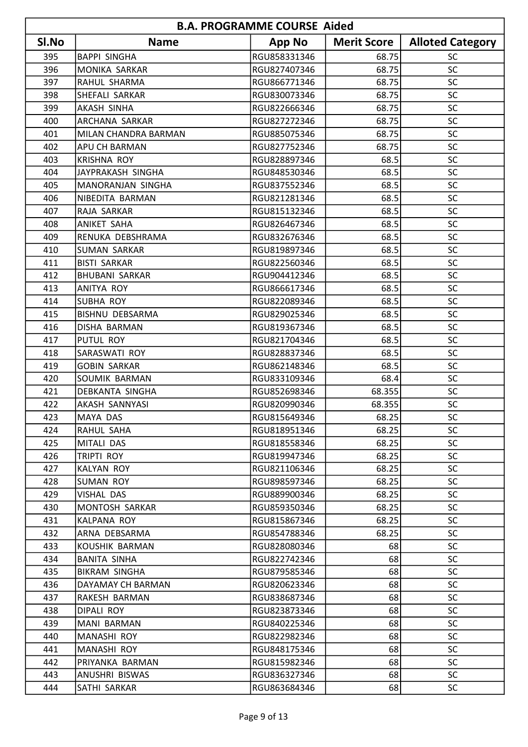| <b>B.A. PROGRAMME COURSE Aided</b> |                        |               |                    |                         |
|------------------------------------|------------------------|---------------|--------------------|-------------------------|
| SI.No                              | <b>Name</b>            | <b>App No</b> | <b>Merit Score</b> | <b>Alloted Category</b> |
| 395                                | <b>BAPPI SINGHA</b>    | RGU858331346  | 68.75              | <b>SC</b>               |
| 396                                | MONIKA SARKAR          | RGU827407346  | 68.75              | SC                      |
| 397                                | RAHUL SHARMA           | RGU866771346  | 68.75              | SC                      |
| 398                                | SHEFALI SARKAR         | RGU830073346  | 68.75              | SC                      |
| 399                                | AKASH SINHA            | RGU822666346  | 68.75              | SC                      |
| 400                                | <b>ARCHANA SARKAR</b>  | RGU827272346  | 68.75              | SC                      |
| 401                                | MILAN CHANDRA BARMAN   | RGU885075346  | 68.75              | <b>SC</b>               |
| 402                                | APU CH BARMAN          | RGU827752346  | 68.75              | SC                      |
| 403                                | <b>KRISHNA ROY</b>     | RGU828897346  | 68.5               | SC                      |
| 404                                | JAYPRAKASH SINGHA      | RGU848530346  | 68.5               | SC                      |
| 405                                | MANORANJAN SINGHA      | RGU837552346  | 68.5               | SC                      |
| 406                                | NIBEDITA BARMAN        | RGU821281346  | 68.5               | SC                      |
| 407                                | RAJA SARKAR            | RGU815132346  | 68.5               | SC                      |
| 408                                | <b>ANIKET SAHA</b>     | RGU826467346  | 68.5               | SC                      |
| 409                                | RENUKA DEBSHRAMA       | RGU832676346  | 68.5               | SC                      |
| 410                                | <b>SUMAN SARKAR</b>    | RGU819897346  | 68.5               | SC                      |
| 411                                | <b>BISTI SARKAR</b>    | RGU822560346  | 68.5               | SC                      |
| 412                                | <b>BHUBANI SARKAR</b>  | RGU904412346  | 68.5               | SC                      |
| 413                                | <b>ANITYA ROY</b>      | RGU866617346  | 68.5               | SC                      |
| 414                                | <b>SUBHA ROY</b>       | RGU822089346  | 68.5               | SC                      |
| 415                                | BISHNU DEBSARMA        | RGU829025346  | 68.5               | <b>SC</b>               |
| 416                                | DISHA BARMAN           | RGU819367346  | 68.5               | SC                      |
| 417                                | <b>PUTUL ROY</b>       | RGU821704346  | 68.5               | SC                      |
| 418                                | SARASWATI ROY          | RGU828837346  | 68.5               | SC                      |
| 419                                | <b>GOBIN SARKAR</b>    | RGU862148346  | 68.5               | SC                      |
| 420                                | SOUMIK BARMAN          | RGU833109346  | 68.4               | SC                      |
| 421                                | <b>DEBKANTA SINGHA</b> | RGU852698346  | 68.355             | SC                      |
| 422                                | AKASH SANNYASI         | RGU820990346  | 68.355             | SC                      |
| 423                                | MAYA DAS               | RGU815649346  | 68.25              | SC.                     |
| 424                                | RAHUL SAHA             | RGU818951346  | 68.25              | <b>SC</b>               |
| 425                                | MITALI DAS             | RGU818558346  | 68.25              | <b>SC</b>               |
| 426                                | TRIPTI ROY             | RGU819947346  | 68.25              | <b>SC</b>               |
| 427                                | <b>KALYAN ROY</b>      | RGU821106346  | 68.25              | <b>SC</b>               |
| 428                                | SUMAN ROY              | RGU898597346  | 68.25              | <b>SC</b>               |
| 429                                | VISHAL DAS             | RGU889900346  | 68.25              | <b>SC</b>               |
| 430                                | MONTOSH SARKAR         | RGU859350346  | 68.25              | <b>SC</b>               |
| 431                                | KALPANA ROY            | RGU815867346  | 68.25              | <b>SC</b>               |
| 432                                | ARNA DEBSARMA          | RGU854788346  | 68.25              | <b>SC</b>               |
| 433                                | KOUSHIK BARMAN         | RGU828080346  | 68                 | <b>SC</b>               |
| 434                                | <b>BANITA SINHA</b>    | RGU822742346  | 68                 | <b>SC</b>               |
| 435                                | <b>BIKRAM SINGHA</b>   | RGU879585346  | 68                 | <b>SC</b>               |
| 436                                | DAYAMAY CH BARMAN      | RGU820623346  | 68                 | <b>SC</b>               |
| 437                                | RAKESH BARMAN          | RGU838687346  | 68                 | <b>SC</b>               |
| 438                                | <b>DIPALI ROY</b>      | RGU823873346  | 68                 | <b>SC</b>               |
| 439                                | MANI BARMAN            | RGU840225346  | 68                 | <b>SC</b>               |
| 440                                | MANASHI ROY            | RGU822982346  | 68                 | <b>SC</b>               |
| 441                                | MANASHI ROY            | RGU848175346  | 68                 | <b>SC</b>               |
| 442                                | PRIYANKA BARMAN        | RGU815982346  | 68                 | <b>SC</b>               |
| 443                                | ANUSHRI BISWAS         | RGU836327346  | 68                 | <b>SC</b>               |
| 444                                | SATHI SARKAR           | RGU863684346  | 68                 | <b>SC</b>               |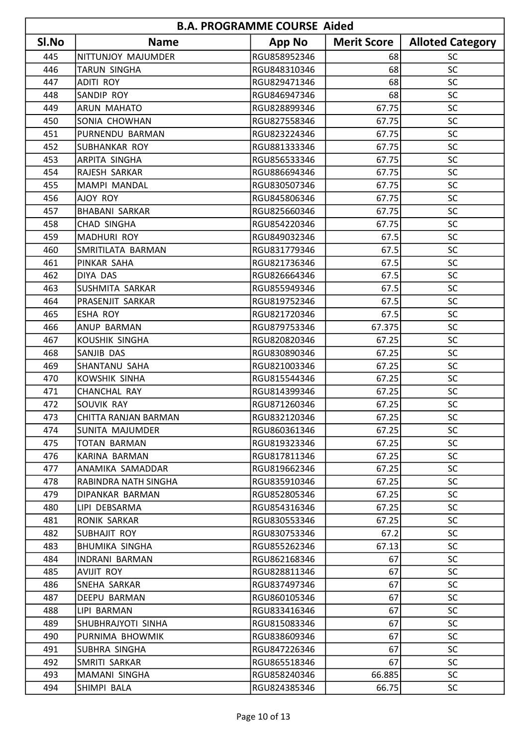|       | <b>B.A. PROGRAMME COURSE Aided</b> |               |                    |                         |  |
|-------|------------------------------------|---------------|--------------------|-------------------------|--|
| SI.No | <b>Name</b>                        | <b>App No</b> | <b>Merit Score</b> | <b>Alloted Category</b> |  |
| 445   | NITTUNJOY MAJUMDER                 | RGU858952346  | 68                 | SC                      |  |
| 446   | <b>TARUN SINGHA</b>                | RGU848310346  | 68                 | SC                      |  |
| 447   | <b>ADITI ROY</b>                   | RGU829471346  | 68                 | <b>SC</b>               |  |
| 448   | SANDIP ROY                         | RGU846947346  | 68                 | SC                      |  |
| 449   | ARUN MAHATO                        | RGU828899346  | 67.75              | SC                      |  |
| 450   | SONIA CHOWHAN                      | RGU827558346  | 67.75              | SC                      |  |
| 451   | PURNENDU BARMAN                    | RGU823224346  | 67.75              | SC                      |  |
| 452   | SUBHANKAR ROY                      | RGU881333346  | 67.75              | SC                      |  |
| 453   | ARPITA SINGHA                      | RGU856533346  | 67.75              | <b>SC</b>               |  |
| 454   | RAJESH SARKAR                      | RGU886694346  | 67.75              | <b>SC</b>               |  |
| 455   | <b>MAMPI MANDAL</b>                | RGU830507346  | 67.75              | SC                      |  |
| 456   | AJOY ROY                           | RGU845806346  | 67.75              | SC                      |  |
| 457   | <b>BHABANI SARKAR</b>              | RGU825660346  | 67.75              | SC                      |  |
| 458   | <b>CHAD SINGHA</b>                 | RGU854220346  | 67.75              | SC                      |  |
| 459   | <b>MADHURI ROY</b>                 | RGU849032346  | 67.5               | SC                      |  |
| 460   | SMRITILATA BARMAN                  | RGU831779346  | 67.5               | SC                      |  |
| 461   | PINKAR SAHA                        | RGU821736346  | 67.5               | SC                      |  |
| 462   | <b>DIYA DAS</b>                    | RGU826664346  | 67.5               | SC                      |  |
| 463   | SUSHMITA SARKAR                    | RGU855949346  | 67.5               | SC                      |  |
| 464   | PRASENJIT SARKAR                   | RGU819752346  | 67.5               | SC                      |  |
| 465   | <b>ESHA ROY</b>                    | RGU821720346  | 67.5               | SC                      |  |
| 466   | <b>ANUP BARMAN</b>                 | RGU879753346  | 67.375             | SC                      |  |
| 467   | <b>KOUSHIK SINGHA</b>              | RGU820820346  | 67.25              | SC                      |  |
| 468   | SANJIB DAS                         | RGU830890346  | 67.25              | SC                      |  |
| 469   | SHANTANU SAHA                      | RGU821003346  | 67.25              | SC                      |  |
| 470   | <b>KOWSHIK SINHA</b>               | RGU815544346  | 67.25              | SC                      |  |
| 471   | CHANCHAL RAY                       | RGU814399346  | 67.25              | SC                      |  |
| 472   | <b>SOUVIK RAY</b>                  | RGU871260346  | 67.25              | SC                      |  |
| 473   | CHITTA RANJAN BARMAN               | RGU832120346  | 67.25              | SC.                     |  |
| 474   | <b>SUNITA MAJUMDER</b>             | RGU860361346  | 67.25              | <b>SC</b>               |  |
| 475   | TOTAN BARMAN                       | RGU819323346  | 67.25              | <b>SC</b>               |  |
| 476   | KARINA BARMAN                      | RGU817811346  | 67.25              | <b>SC</b>               |  |
| 477   | ANAMIKA SAMADDAR                   | RGU819662346  | 67.25              | <b>SC</b>               |  |
| 478   | RABINDRA NATH SINGHA               | RGU835910346  | 67.25              | <b>SC</b>               |  |
| 479   | DIPANKAR BARMAN                    | RGU852805346  | 67.25              | <b>SC</b>               |  |
| 480   | LIPI DEBSARMA                      | RGU854316346  | 67.25              | <b>SC</b>               |  |
| 481   | <b>RONIK SARKAR</b>                | RGU830553346  | 67.25              | <b>SC</b>               |  |
| 482   | SUBHAJIT ROY                       | RGU830753346  | 67.2               | <b>SC</b>               |  |
| 483   | <b>BHUMIKA SINGHA</b>              | RGU855262346  | 67.13              | <b>SC</b>               |  |
| 484   | <b>INDRANI BARMAN</b>              | RGU862168346  | 67                 | <b>SC</b>               |  |
| 485   | AVIJIT ROY                         | RGU828811346  | 67                 | <b>SC</b>               |  |
| 486   | SNEHA SARKAR                       | RGU837497346  | 67                 | <b>SC</b>               |  |
| 487   | DEEPU BARMAN                       | RGU860105346  | 67                 | <b>SC</b>               |  |
| 488   | LIPI BARMAN                        | RGU833416346  | 67                 | <b>SC</b>               |  |
| 489   | SHUBHRAJYOTI SINHA                 | RGU815083346  | 67                 | <b>SC</b>               |  |
| 490   | PURNIMA BHOWMIK                    | RGU838609346  | 67                 | <b>SC</b>               |  |
| 491   | SUBHRA SINGHA                      | RGU847226346  | 67                 | <b>SC</b>               |  |
| 492   | SMRITI SARKAR                      | RGU865518346  | 67                 | <b>SC</b>               |  |
| 493   | MAMANI SINGHA                      | RGU858240346  | 66.885             | <b>SC</b>               |  |
| 494   | SHIMPI BALA                        | RGU824385346  | 66.75              | <b>SC</b>               |  |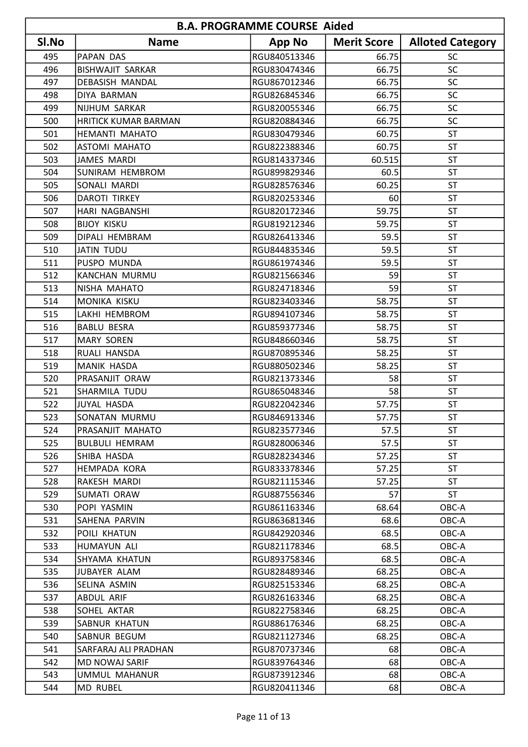|       | <b>B.A. PROGRAMME COURSE Aided</b> |               |                    |                         |  |
|-------|------------------------------------|---------------|--------------------|-------------------------|--|
| SI.No | <b>Name</b>                        | <b>App No</b> | <b>Merit Score</b> | <b>Alloted Category</b> |  |
| 495   | <b>PAPAN DAS</b>                   | RGU840513346  | 66.75              | <b>SC</b>               |  |
| 496   | <b>BISHWAJIT SARKAR</b>            | RGU830474346  | 66.75              | SC                      |  |
| 497   | DEBASISH MANDAL                    | RGU867012346  | 66.75              | SC                      |  |
| 498   | DIYA BARMAN                        | RGU826845346  | 66.75              | SC                      |  |
| 499   | NIJHUM SARKAR                      | RGU820055346  | 66.75              | SC                      |  |
| 500   | <b>HRITICK KUMAR BARMAN</b>        | RGU820884346  | 66.75              | SC                      |  |
| 501   | HEMANTI MAHATO                     | RGU830479346  | 60.75              | <b>ST</b>               |  |
| 502   | <b>ASTOMI MAHATO</b>               | RGU822388346  | 60.75              | <b>ST</b>               |  |
| 503   | <b>JAMES MARDI</b>                 | RGU814337346  | 60.515             | <b>ST</b>               |  |
| 504   | <b>SUNIRAM HEMBROM</b>             | RGU899829346  | 60.5               | <b>ST</b>               |  |
| 505   | SONALI MARDI                       | RGU828576346  | 60.25              | <b>ST</b>               |  |
| 506   | <b>DAROTI TIRKEY</b>               | RGU820253346  | 60                 | <b>ST</b>               |  |
| 507   | HARI NAGBANSHI                     | RGU820172346  | 59.75              | <b>ST</b>               |  |
| 508   | <b>BIJOY KISKU</b>                 | RGU819212346  | 59.75              | <b>ST</b>               |  |
| 509   | DIPALI HEMBRAM                     | RGU826413346  | 59.5               | <b>ST</b>               |  |
| 510   | JATIN TUDU                         | RGU844835346  | 59.5               | <b>ST</b>               |  |
| 511   | PUSPO MUNDA                        | RGU861974346  | 59.5               | <b>ST</b>               |  |
| 512   | <b>KANCHAN MURMU</b>               | RGU821566346  | 59                 | <b>ST</b>               |  |
| 513   | NISHA MAHATO                       | RGU824718346  | 59                 | <b>ST</b>               |  |
| 514   | MONIKA KISKU                       | RGU823403346  | 58.75              | <b>ST</b>               |  |
| 515   | LAKHI HEMBROM                      | RGU894107346  | 58.75              | <b>ST</b>               |  |
| 516   | <b>BABLU BESRA</b>                 | RGU859377346  | 58.75              | <b>ST</b>               |  |
| 517   | <b>MARY SOREN</b>                  | RGU848660346  | 58.75              | <b>ST</b>               |  |
| 518   | RUALI HANSDA                       | RGU870895346  | 58.25              | <b>ST</b>               |  |
| 519   | <b>MANIK HASDA</b>                 | RGU880502346  | 58.25              | <b>ST</b>               |  |
| 520   | PRASANJIT ORAW                     | RGU821373346  | 58                 | <b>ST</b>               |  |
| 521   | SHARMILA TUDU                      | RGU865048346  | 58                 | <b>ST</b>               |  |
| 522   | JUYAL HASDA                        | RGU822042346  | 57.75              | <b>ST</b>               |  |
| 523   | SONATAN MURMU                      | RGU846913346  | 57.75              | ST                      |  |
| 524   | PRASANJIT MAHATO                   | RGU823577346  | 57.5               | <b>ST</b>               |  |
| 525   | <b>BULBULI HEMRAM</b>              | RGU828006346  | 57.5               | <b>ST</b>               |  |
| 526   | SHIBA HASDA                        | RGU828234346  | 57.25              | <b>ST</b>               |  |
| 527   | HEMPADA KORA                       | RGU833378346  | 57.25              | ST                      |  |
| 528   | RAKESH MARDI                       | RGU821115346  | 57.25              | ST                      |  |
| 529   | ISUMATI ORAW                       | RGU887556346  | 57                 | <b>ST</b>               |  |
| 530   | POPI YASMIN                        | RGU861163346  | 68.64              | OBC-A                   |  |
| 531   | SAHENA PARVIN                      | RGU863681346  | 68.6               | OBC-A                   |  |
| 532   | POILI KHATUN                       | RGU842920346  | 68.5               | OBC-A                   |  |
| 533   | HUMAYUN ALI                        | RGU821178346  | 68.5               | OBC-A                   |  |
| 534   | SHYAMA KHATUN                      | RGU893758346  | 68.5               | OBC-A                   |  |
| 535   | JUBAYER ALAM                       | RGU828489346  | 68.25              | OBC-A                   |  |
| 536   | SELINA ASMIN                       | RGU825153346  | 68.25              | OBC-A                   |  |
| 537   | ABDUL ARIF                         | RGU826163346  | 68.25              | OBC-A                   |  |
| 538   | SOHEL AKTAR                        | RGU822758346  | 68.25              | OBC-A                   |  |
| 539   | SABNUR KHATUN                      | RGU886176346  | 68.25              | OBC-A                   |  |
| 540   | SABNUR BEGUM                       | RGU821127346  | 68.25              | OBC-A                   |  |
| 541   | SARFARAJ ALI PRADHAN               | RGU870737346  | 68                 | OBC-A                   |  |
| 542   | MD NOWAJ SARIF                     | RGU839764346  | 68                 | OBC-A                   |  |
| 543   | UMMUL MAHANUR                      | RGU873912346  | 68                 | OBC-A                   |  |
| 544   | MD RUBEL                           | RGU820411346  | 68                 | OBC-A                   |  |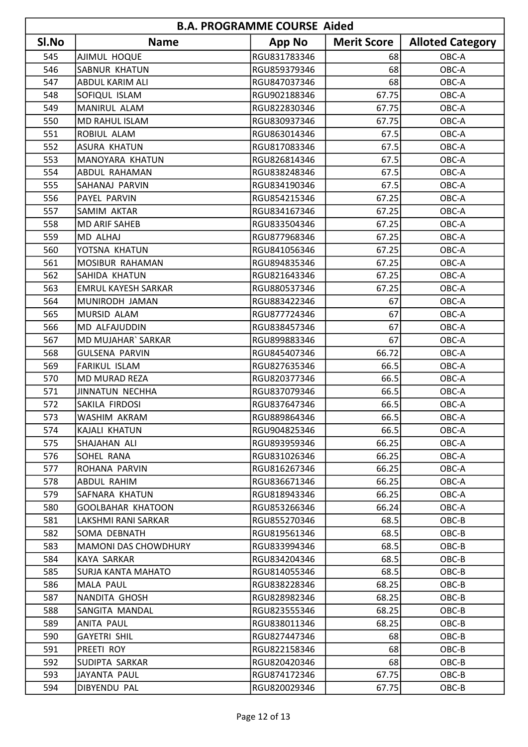| <b>B.A. PROGRAMME COURSE Aided</b> |                             |               |                    |                         |
|------------------------------------|-----------------------------|---------------|--------------------|-------------------------|
| SI.No                              | <b>Name</b>                 | <b>App No</b> | <b>Merit Score</b> | <b>Alloted Category</b> |
| 545                                | AJIMUL HOQUE                | RGU831783346  | 68                 | OBC-A                   |
| 546                                | <b>SABNUR KHATUN</b>        | RGU859379346  | 68                 | OBC-A                   |
| 547                                | <b>ABDUL KARIM ALI</b>      | RGU847037346  | 68                 | OBC-A                   |
| 548                                | SOFIQUL ISLAM               | RGU902188346  | 67.75              | OBC-A                   |
| 549                                | MANIRUL ALAM                | RGU822830346  | 67.75              | OBC-A                   |
| 550                                | <b>MD RAHUL ISLAM</b>       | RGU830937346  | 67.75              | OBC-A                   |
| 551                                | ROBIUL ALAM                 | RGU863014346  | 67.5               | OBC-A                   |
| 552                                | <b>ASURA KHATUN</b>         | RGU817083346  | 67.5               | OBC-A                   |
| 553                                | <b>MANOYARA KHATUN</b>      | RGU826814346  | 67.5               | OBC-A                   |
| 554                                | <b>ABDUL RAHAMAN</b>        | RGU838248346  | 67.5               | OBC-A                   |
| 555                                | <b>SAHANAJ PARVIN</b>       | RGU834190346  | 67.5               | OBC-A                   |
| 556                                | PAYEL PARVIN                | RGU854215346  | 67.25              | OBC-A                   |
| 557                                | SAMIM AKTAR                 | RGU834167346  | 67.25              | OBC-A                   |
| 558                                | <b>MD ARIF SAHEB</b>        | RGU833504346  | 67.25              | OBC-A                   |
| 559                                | MD ALHAJ                    | RGU877968346  | 67.25              | OBC-A                   |
| 560                                | YOTSNA KHATUN               | RGU841056346  | 67.25              | OBC-A                   |
| 561                                | MOSIBUR RAHAMAN             | RGU894835346  | 67.25              | OBC-A                   |
| 562                                | SAHIDA KHATUN               | RGU821643346  | 67.25              | OBC-A                   |
| 563                                | <b>EMRUL KAYESH SARKAR</b>  | RGU880537346  | 67.25              | OBC-A                   |
| 564                                | MUNIRODH JAMAN              | RGU883422346  | 67                 | OBC-A                   |
| 565                                | MURSID ALAM                 | RGU877724346  | 67                 | OBC-A                   |
| 566                                | MD ALFAJUDDIN               | RGU838457346  | 67                 | OBC-A                   |
| 567                                | MD MUJAHAR` SARKAR          | RGU899883346  | 67                 | OBC-A                   |
| 568                                | <b>GULSENA PARVIN</b>       | RGU845407346  | 66.72              | OBC-A                   |
| 569                                | <b>FARIKUL ISLAM</b>        | RGU827635346  | 66.5               | OBC-A                   |
| 570                                | MD MURAD REZA               | RGU820377346  | 66.5               | OBC-A                   |
| 571                                | JINNATUN NECHHA             | RGU837079346  | 66.5               | OBC-A                   |
| 572                                | SAKILA FIRDOSI              | RGU837647346  | 66.5               | OBC-A                   |
| 573                                | WASHIM AKRAM                | RGU889864346  | 66.5               | OBC-A                   |
| 574                                | KAJALI KHATUN               | RGU904825346  | 66.5               | OBC-A                   |
| 575                                | SHAJAHAN ALI                | RGU893959346  | 66.25              | OBC-A                   |
| 576                                | SOHEL RANA                  | RGU831026346  | 66.25              | OBC-A                   |
| 577                                | ROHANA PARVIN               | RGU816267346  | 66.25              | OBC-A                   |
| 578                                | ABDUL RAHIM                 | RGU836671346  | 66.25              | OBC-A                   |
| 579                                | SAFNARA KHATUN              | RGU818943346  | 66.25              | OBC-A                   |
| 580                                | GOOLBAHAR KHATOON           | RGU853266346  | 66.24              | OBC-A                   |
| 581                                | LAKSHMI RANI SARKAR         | RGU855270346  | 68.5               | OBC-B                   |
| 582                                | SOMA DEBNATH                | RGU819561346  | 68.5               | OBC-B                   |
| 583                                | <b>MAMONI DAS CHOWDHURY</b> | RGU833994346  | 68.5               | OBC-B                   |
| 584                                | KAYA SARKAR                 | RGU834204346  | 68.5               | OBC-B                   |
| 585                                | <b>SURJA KANTA MAHATO</b>   | RGU814055346  | 68.5               | OBC-B                   |
| 586                                | MALA PAUL                   | RGU838228346  | 68.25              | OBC-B                   |
| 587                                | NANDITA GHOSH               | RGU828982346  | 68.25              | OBC-B                   |
| 588                                | SANGITA MANDAL              | RGU823555346  | 68.25              | OBC-B                   |
| 589                                | ANITA PAUL                  | RGU838011346  | 68.25              | OBC-B                   |
| 590                                | <b>GAYETRI SHIL</b>         | RGU827447346  | 68                 | OBC-B                   |
| 591                                | PREETI ROY                  | RGU822158346  | 68                 | OBC-B                   |
| 592                                | SUDIPTA SARKAR              | RGU820420346  | 68                 | OBC-B                   |
| 593                                | JAYANTA PAUL                | RGU874172346  | 67.75              | OBC-B                   |
| 594                                | DIBYENDU PAL                | RGU820029346  | 67.75              | OBC-B                   |